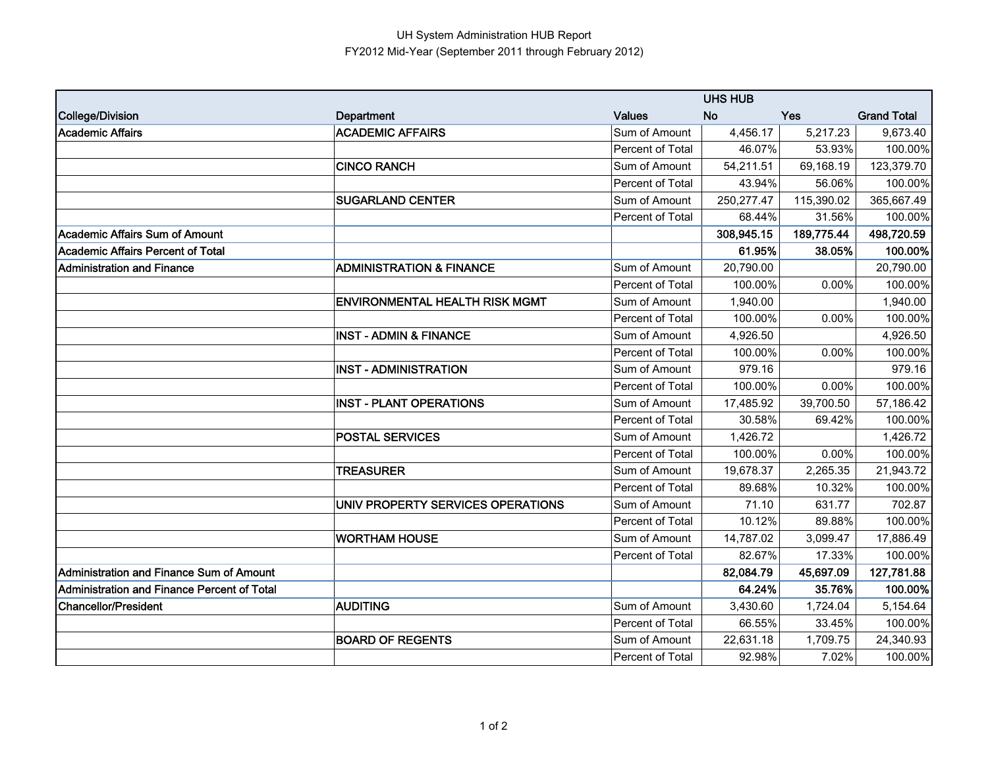## UH System Administration HUB Report FY2012 Mid-Year (September 2011 through February 2012)

|                                             |                                       | <b>UHS HUB</b>          |            |            |                    |  |
|---------------------------------------------|---------------------------------------|-------------------------|------------|------------|--------------------|--|
| College/Division                            | Department                            | <b>Values</b>           | <b>No</b>  | Yes        | <b>Grand Total</b> |  |
| Academic Affairs                            | <b>ACADEMIC AFFAIRS</b>               | Sum of Amount           | 4,456.17   | 5,217.23   | 9,673.40           |  |
|                                             |                                       | Percent of Total        | 46.07%     | 53.93%     | 100.00%            |  |
|                                             | <b>CINCO RANCH</b>                    | Sum of Amount           | 54,211.51  | 69,168.19  | 123,379.70         |  |
|                                             |                                       | Percent of Total        | 43.94%     | 56.06%     | 100.00%            |  |
|                                             | <b>SUGARLAND CENTER</b>               | Sum of Amount           | 250,277.47 | 115,390.02 | 365,667.49         |  |
|                                             |                                       | Percent of Total        | 68.44%     | 31.56%     | 100.00%            |  |
| <b>Academic Affairs Sum of Amount</b>       |                                       |                         | 308,945.15 | 189,775.44 | 498,720.59         |  |
| <b>Academic Affairs Percent of Total</b>    |                                       |                         | 61.95%     | 38.05%     | 100.00%            |  |
| <b>Administration and Finance</b>           | <b>ADMINISTRATION &amp; FINANCE</b>   | Sum of Amount           | 20,790.00  |            | 20,790.00          |  |
|                                             |                                       | Percent of Total        | 100.00%    | 0.00%      | 100.00%            |  |
|                                             | <b>ENVIRONMENTAL HEALTH RISK MGMT</b> | Sum of Amount           | 1,940.00   |            | 1,940.00           |  |
|                                             |                                       | Percent of Total        | 100.00%    | 0.00%      | 100.00%            |  |
|                                             | <b>INST - ADMIN &amp; FINANCE</b>     | Sum of Amount           | 4,926.50   |            | 4,926.50           |  |
|                                             |                                       | Percent of Total        | 100.00%    | 0.00%      | 100.00%            |  |
|                                             | <b>INST - ADMINISTRATION</b>          | Sum of Amount           | 979.16     |            | 979.16             |  |
|                                             |                                       | Percent of Total        | 100.00%    | 0.00%      | 100.00%            |  |
|                                             | <b>INST - PLANT OPERATIONS</b>        | Sum of Amount           | 17,485.92  | 39,700.50  | 57,186.42          |  |
|                                             |                                       | Percent of Total        | 30.58%     | 69.42%     | 100.00%            |  |
|                                             | <b>POSTAL SERVICES</b>                | Sum of Amount           | 1,426.72   |            | 1,426.72           |  |
|                                             |                                       | Percent of Total        | 100.00%    | 0.00%      | 100.00%            |  |
|                                             | <b>TREASURER</b>                      | Sum of Amount           | 19,678.37  | 2,265.35   | 21,943.72          |  |
|                                             |                                       | Percent of Total        | 89.68%     | 10.32%     | 100.00%            |  |
|                                             | UNIV PROPERTY SERVICES OPERATIONS     | Sum of Amount           | 71.10      | 631.77     | 702.87             |  |
|                                             |                                       | Percent of Total        | 10.12%     | 89.88%     | 100.00%            |  |
|                                             | <b>WORTHAM HOUSE</b>                  | Sum of Amount           | 14,787.02  | 3,099.47   | 17,886.49          |  |
|                                             |                                       | Percent of Total        | 82.67%     | 17.33%     | 100.00%            |  |
| Administration and Finance Sum of Amount    |                                       |                         | 82,084.79  | 45,697.09  | 127,781.88         |  |
| Administration and Finance Percent of Total |                                       |                         | 64.24%     | 35.76%     | 100.00%            |  |
| <b>Chancellor/President</b>                 | <b>AUDITING</b>                       | Sum of Amount           | 3,430.60   | 1,724.04   | 5,154.64           |  |
|                                             |                                       | Percent of Total        | 66.55%     | 33.45%     | 100.00%            |  |
|                                             | <b>BOARD OF REGENTS</b>               | Sum of Amount           | 22,631.18  | 1,709.75   | 24,340.93          |  |
|                                             |                                       | <b>Percent of Total</b> | 92.98%     | 7.02%      | 100.00%            |  |